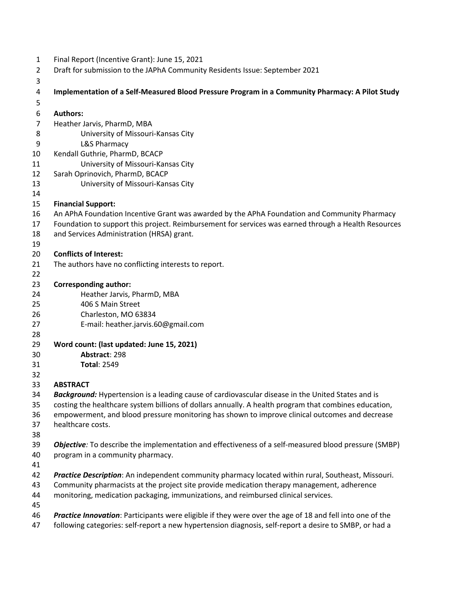| 1 | Final Report (Incentive Grant): June 15, 2021 |  |
|---|-----------------------------------------------|--|
|---|-----------------------------------------------|--|

Draft for submission to the JAPhA Community Residents Issue: September 2021

| 4              | Implementation of a Self-Measured Blood Pressure Program in a Community Pharmacy: A Pilot Study          |
|----------------|----------------------------------------------------------------------------------------------------------|
| 5              |                                                                                                          |
| 6              | <b>Authors:</b>                                                                                          |
| $\overline{7}$ | Heather Jarvis, PharmD, MBA                                                                              |
| 8              | University of Missouri-Kansas City                                                                       |
| 9              | <b>L&amp;S Pharmacy</b>                                                                                  |
| 10             | Kendall Guthrie, PharmD, BCACP                                                                           |
| 11             | University of Missouri-Kansas City                                                                       |
| 12             | Sarah Oprinovich, PharmD, BCACP                                                                          |
| 13             | University of Missouri-Kansas City                                                                       |
| 14             |                                                                                                          |
| 15             | <b>Financial Support:</b>                                                                                |
| 16             | An APhA Foundation Incentive Grant was awarded by the APhA Foundation and Community Pharmacy             |
| 17             | Foundation to support this project. Reimbursement for services was earned through a Health Resources     |
| 18             | and Services Administration (HRSA) grant.                                                                |
| 19             |                                                                                                          |
| 20             | <b>Conflicts of Interest:</b>                                                                            |
| 21             | The authors have no conflicting interests to report.                                                     |
| 22             |                                                                                                          |
| 23             | <b>Corresponding author:</b>                                                                             |
| 24             | Heather Jarvis, PharmD, MBA                                                                              |
| 25             | 406 S Main Street                                                                                        |
| 26             | Charleston, MO 63834                                                                                     |
| 27             | E-mail: heather.jarvis.60@gmail.com                                                                      |
| 28             |                                                                                                          |
| 29             | Word count: (last updated: June 15, 2021)                                                                |
| 30             | Abstract: 298                                                                                            |
| 31             | <b>Total: 2549</b>                                                                                       |
| 32             |                                                                                                          |
| 33             | <b>ABSTRACT</b>                                                                                          |
| 34             | Background: Hypertension is a leading cause of cardiovascular disease in the United States and is        |
| 35             | costing the healthcare system billions of dollars annually. A health program that combines education,    |
| 36             | empowerment, and blood pressure monitoring has shown to improve clinical outcomes and decrease           |
| 37             | healthcare costs.                                                                                        |
| 38             |                                                                                                          |
| 39             | Objective: To describe the implementation and effectiveness of a self-measured blood pressure (SMBP)     |
| 40             | program in a community pharmacy.                                                                         |
| 41             |                                                                                                          |
| 42             | Practice Description: An independent community pharmacy located within rural, Southeast, Missouri.       |
| 43             | Community pharmacists at the project site provide medication therapy management, adherence               |
| 44             | monitoring, medication packaging, immunizations, and reimbursed clinical services.                       |
| 45             |                                                                                                          |
| 46             | Practice Innovation: Participants were eligible if they were over the age of 18 and fell into one of the |
| 47             | following categories: self-report a new hypertension diagnosis, self-report a desire to SMBP, or had a   |
|                |                                                                                                          |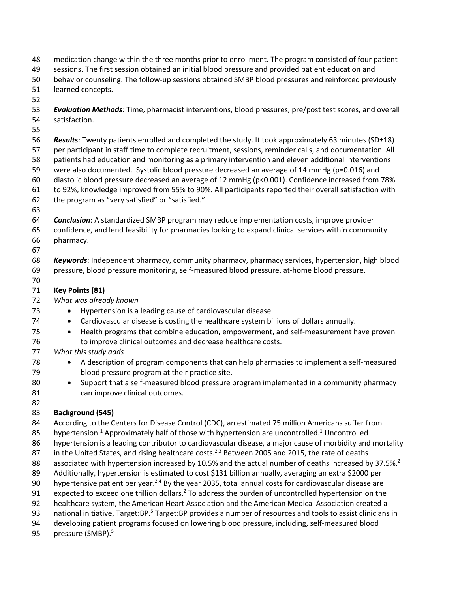- medication change within the three months prior to enrollment. The program consisted of four patient
- sessions. The first session obtained an initial blood pressure and provided patient education and
- behavior counseling. The follow-up sessions obtained SMBP blood pressures and reinforced previously
- learned concepts.
- 



 *Results*: Twenty patients enrolled and completed the study. It took approximately 63 minutes (SD±18) per participant in staff time to complete recruitment, sessions, reminder calls, and documentation. All patients had education and monitoring as a primary intervention and eleven additional interventions were also documented. Systolic blood pressure decreased an average of 14 mmHg (p=0.016) and diastolic blood pressure decreased an average of 12 mmHg (p<0.001). Confidence increased from 78% to 92%, knowledge improved from 55% to 90%. All participants reported their overall satisfaction with the program as "very satisfied" or "satisfied."

*Conclusion*: A standardized SMBP program may reduce implementation costs, improve provider

- confidence, and lend feasibility for pharmacies looking to expand clinical services within community pharmacy.
- 

 *Keywords*: Independent pharmacy, community pharmacy, pharmacy services, hypertension, high blood pressure, blood pressure monitoring, self-measured blood pressure, at-home blood pressure.

# **Key Points (81)**

- *What was already known*
- 73 Hypertension is a leading cause of cardiovascular disease.
- Cardiovascular disease is costing the healthcare system billions of dollars annually.
- Health programs that combine education, empowerment, and self-measurement have proven to improve clinical outcomes and decrease healthcare costs.
- *What this study adds*
- A description of program components that can help pharmacies to implement a self-measured blood pressure program at their practice site.
- Support that a self-measured blood pressure program implemented in a community pharmacy can improve clinical outcomes.

#### **Background (545)**

According to the Centers for Disease Control (CDC), an estimated 75 million Americans suffer from

- 85 hypertension.<sup>1</sup> Approximately half of those with hypertension are uncontrolled.<sup>1</sup> Uncontrolled
- hypertension is a leading contributor to cardiovascular disease, a major cause of morbidity and mortality
- 87 in the United States, and rising healthcare costs.<sup>2,3</sup> Between 2005 and 2015, the rate of deaths
- 88 associated with hypertension increased by 10.5% and the actual number of deaths increased by 37.5%.<sup>2</sup>
- Additionally, hypertension is estimated to cost \$131 billion annually, averaging an extra \$2000 per
- 90 bypertensive patient per year.<sup>2,4</sup> By the year 2035, total annual costs for cardiovascular disease are
- 91 expected to exceed one trillion dollars.<sup>2</sup> To address the burden of uncontrolled hypertension on the
- healthcare system, the American Heart Association and the American Medical Association created a
- 93 national initiative, Target:BP.<sup>5</sup> Target:BP provides a number of resources and tools to assist clinicians in
- developing patient programs focused on lowering blood pressure, including, self-measured blood
- 95 pressure (SMBP).<sup>5</sup>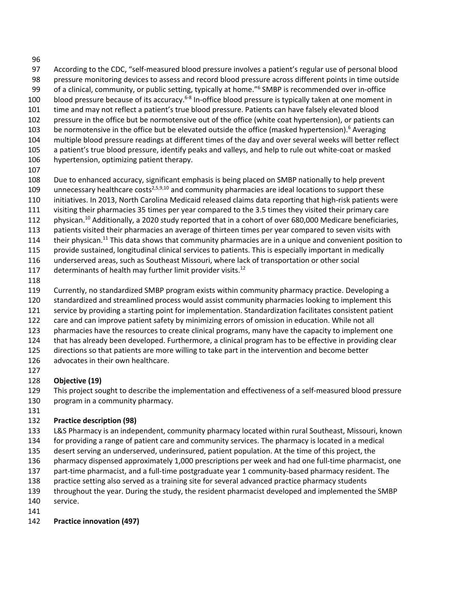- 
- According to the CDC, "self-measured blood pressure involves a patient's regular use of personal blood pressure monitoring devices to assess and record blood pressure across different points in time outside
- 99 of a clinical, community, or public setting, typically at home."<sup>6</sup> SMBP is recommended over in-office
- 100 blood pressure because of its accuracy.<sup>6-8</sup> In-office blood pressure is typically taken at one moment in
- time and may not reflect a patient's true blood pressure. Patients can have falsely elevated blood pressure in the office but be normotensive out of the office (white coat hypertension), or patients can
- 103 be normotensive in the office but be elevated outside the office (masked hypertension).<sup>6</sup> Averaging
- multiple blood pressure readings at different times of the day and over several weeks will better reflect
- a patient's true blood pressure, identify peaks and valleys, and help to rule out white-coat or masked
- hypertension, optimizing patient therapy.
- 

 Due to enhanced accuracy, significant emphasis is being placed on SMBP nationally to help prevent 109 unnecessary healthcare costs<sup>2,5,9,10</sup> and community pharmacies are ideal locations to support these

- initiatives. In 2013, North Carolina Medicaid released claims data reporting that high-risk patients were
- visiting their pharmacies 35 times per year compared to the 3.5 times they visited their primary care
- 112 physican.<sup>10</sup> Additionally, a 2020 study reported that in a cohort of over 680,000 Medicare beneficiaries,
- patients visited their pharmacies an average of thirteen times per year compared to seven visits with
- 114 their physican.<sup>11</sup> This data shows that community pharmacies are in a unique and convenient position to
- provide sustained, longitudinal clinical services to patients. This is especially important in medically
- underserved areas, such as Southeast Missouri, where lack of transportation or other social
- 117 determinants of health may further limit provider visits. $^{12}$
- 
- Currently, no standardized SMBP program exists within community pharmacy practice. Developing a
- standardized and streamlined process would assist community pharmacies looking to implement this
- service by providing a starting point for implementation. Standardization facilitates consistent patient
- care and can improve patient safety by minimizing errors of omission in education. While not all
- pharmacies have the resources to create clinical programs, many have the capacity to implement one
- that has already been developed. Furthermore, a clinical program has to be effective in providing clear
- directions so that patients are more willing to take part in the intervention and become better
- advocates in their own healthcare.
- 

# **Objective (19)**

- This project sought to describe the implementation and effectiveness of a self-measured blood pressure
- program in a community pharmacy.
- 

# **Practice description (98)**

- L&S Pharmacy is an independent, community pharmacy located within rural Southeast, Missouri, known
- for providing a range of patient care and community services. The pharmacy is located in a medical
- desert serving an underserved, underinsured, patient population. At the time of this project, the
- pharmacy dispensed approximately 1,000 prescriptions per week and had one full-time pharmacist, one
- part-time pharmacist, and a full-time postgraduate year 1 community-based pharmacy resident. The
- practice setting also served as a training site for several advanced practice pharmacy students
- throughout the year. During the study, the resident pharmacist developed and implemented the SMBP service.
- 

# **Practice innovation (497)**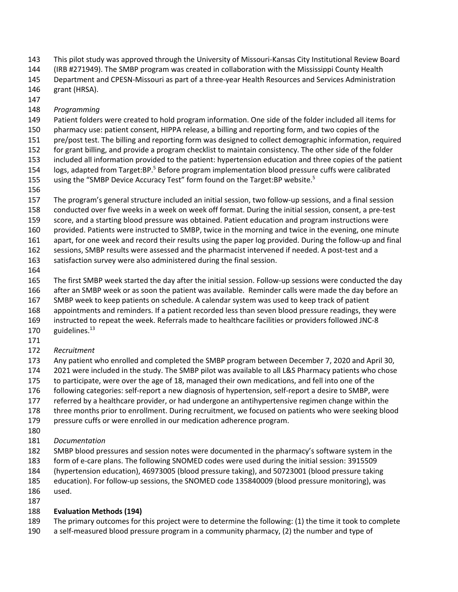This pilot study was approved through the University of Missouri-Kansas City Institutional Review Board

(IRB #271949). The SMBP program was created in collaboration with the Mississippi County Health

 Department and CPESN-Missouri as part of a three-year Health Resources and Services Administration grant (HRSA).

# *Programming*

Patient folders were created to hold program information. One side of the folder included all items for

pharmacy use: patient consent, HIPPA release, a billing and reporting form, and two copies of the

pre/post test. The billing and reporting form was designed to collect demographic information, required

for grant billing, and provide a program checklist to maintain consistency. The other side of the folder

included all information provided to the patient: hypertension education and three copies of the patient

154 logs, adapted from Target:BP.<sup>5</sup> Before program implementation blood pressure cuffs were calibrated 155 using the "SMBP Device Accuracy Test" form found on the Target:BP website.<sup>5</sup>

 The program's general structure included an initial session, two follow-up sessions, and a final session conducted over five weeks in a week on week off format. During the initial session, consent, a pre-test

score, and a starting blood pressure was obtained. Patient education and program instructions were

provided. Patients were instructed to SMBP, twice in the morning and twice in the evening, one minute

apart, for one week and record their results using the paper log provided. During the follow-up and final

sessions, SMBP results were assessed and the pharmacist intervened if needed. A post-test and a

satisfaction survey were also administered during the final session.

 The first SMBP week started the day after the initial session. Follow-up sessions were conducted the day after an SMBP week or as soon the patient was available. Reminder calls were made the day before an

SMBP week to keep patients on schedule. A calendar system was used to keep track of patient

appointments and reminders. If a patient recorded less than seven blood pressure readings, they were

instructed to repeat the week. Referrals made to healthcare facilities or providers followed JNC-8

- 170 guidelines. $^{13}$
- 
- *Recruitment*

Any patient who enrolled and completed the SMBP program between December 7, 2020 and April 30,

2021 were included in the study. The SMBP pilot was available to all L&S Pharmacy patients who chose

to participate, were over the age of 18, managed their own medications, and fell into one of the

following categories: self-report a new diagnosis of hypertension, self-report a desire to SMBP, were

referred by a healthcare provider, or had undergone an antihypertensive regimen change within the

three months prior to enrollment. During recruitment, we focused on patients who were seeking blood

pressure cuffs or were enrolled in our medication adherence program.

- 
- *Documentation*

SMBP blood pressures and session notes were documented in the pharmacy's software system in the

- form of e-care plans. The following SNOMED codes were used during the initial session: 3915509
- (hypertension education), 46973005 (blood pressure taking), and 50723001 (blood pressure taking
- education). For follow-up sessions, the SNOMED code 135840009 (blood pressure monitoring), was
- used.

#### **Evaluation Methods (194)**

- The primary outcomes for this project were to determine the following: (1) the time it took to complete
- a self-measured blood pressure program in a community pharmacy, (2) the number and type of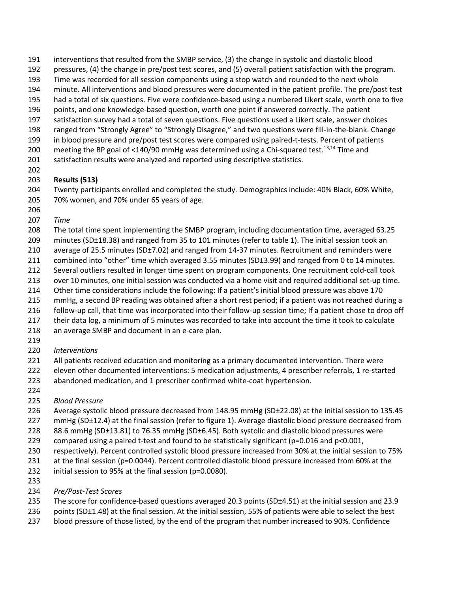- interventions that resulted from the SMBP service, (3) the change in systolic and diastolic blood
- pressures, (4) the change in pre/post test scores, and (5) overall patient satisfaction with the program.
- Time was recorded for all session components using a stop watch and rounded to the next whole
- minute. All interventions and blood pressures were documented in the patient profile. The pre/post test
- had a total of six questions. Five were confidence-based using a numbered Likert scale, worth one to five
- points, and one knowledge-based question, worth one point if answered correctly. The patient
- satisfaction survey had a total of seven questions. Five questions used a Likert scale, answer choices
- ranged from "Strongly Agree" to "Strongly Disagree," and two questions were fill-in-the-blank. Change
- in blood pressure and pre/post test scores were compared using paired-t-tests. Percent of patients
- 200 meeting the BP goal of <140/90 mmHg was determined using a Chi-squared test.<sup>13,14</sup> Time and
- satisfaction results were analyzed and reported using descriptive statistics.
- 

### **Results (513)**

 Twenty participants enrolled and completed the study. Demographics include: 40% Black, 60% White, 70% women, and 70% under 65 years of age.

- *Time*
- The total time spent implementing the SMBP program, including documentation time, averaged 63.25
- minutes (SD±18.38) and ranged from 35 to 101 minutes (refer to table 1). The initial session took an
- average of 25.5 minutes (SD±7.02) and ranged from 14-37 minutes. Recruitment and reminders were
- combined into "other" time which averaged 3.55 minutes (SD±3.99) and ranged from 0 to 14 minutes.
- Several outliers resulted in longer time spent on program components. One recruitment cold-call took
- over 10 minutes, one initial session was conducted via a home visit and required additional set-up time.
- Other time considerations include the following: If a patient's initial blood pressure was above 170
- mmHg, a second BP reading was obtained after a short rest period; if a patient was not reached during a
- follow-up call, that time was incorporated into their follow-up session time; If a patient chose to drop off
- 217 their data log, a minimum of 5 minutes was recorded to take into account the time it took to calculate
- an average SMBP and document in an e-care plan.
- 
- *Interventions*
- All patients received education and monitoring as a primary documented intervention. There were
- eleven other documented interventions: 5 medication adjustments, 4 prescriber referrals, 1 re-started
- abandoned medication, and 1 prescriber confirmed white-coat hypertension.
- 
- *Blood Pressure*
- Average systolic blood pressure decreased from 148.95 mmHg (SD±22.08) at the initial session to 135.45
- mmHg (SD±12.4) at the final session (refer to figure 1). Average diastolic blood pressure decreased from
- 228 88.6 mmHg (SD±13.81) to 76.35 mmHg (SD±6.45). Both systolic and diastolic blood pressures were
- 229 compared using a paired t-test and found to be statistically significant ( $p=0.016$  and  $p<0.001$ ,
- respectively). Percent controlled systolic blood pressure increased from 30% at the initial session to 75%
- at the final session (p=0.0044). Percent controlled diastolic blood pressure increased from 60% at the
- initial session to 95% at the final session (p=0.0080).
- 
- *Pre/Post-Test Scores*
- The score for confidence-based questions averaged 20.3 points (SD±4.51) at the initial session and 23.9
- 236 points (SD±1.48) at the final session. At the initial session, 55% of patients were able to select the best
- blood pressure of those listed, by the end of the program that number increased to 90%. Confidence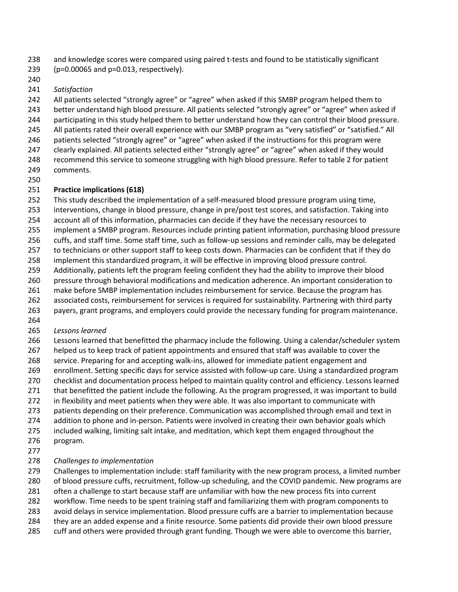and knowledge scores were compared using paired t-tests and found to be statistically significant

- (p=0.00065 and p=0.013, respectively).
- 

### *Satisfaction*

242 All patients selected "strongly agree" or "agree" when asked if this SMBP program helped them to better understand high blood pressure. All patients selected "strongly agree" or "agree" when asked if

- participating in this study helped them to better understand how they can control their blood pressure.
- All patients rated their overall experience with our SMBP program as "very satisfied" or "satisfied." All
- patients selected "strongly agree" or "agree" when asked if the instructions for this program were
- clearly explained. All patients selected either "strongly agree" or "agree" when asked if they would
- recommend this service to someone struggling with high blood pressure. Refer to table 2 for patient comments.
- 

# **Practice implications (618)**

This study described the implementation of a self-measured blood pressure program using time,

- interventions, change in blood pressure, change in pre/post test scores, and satisfaction. Taking into
- account all of this information, pharmacies can decide if they have the necessary resources to
- implement a SMBP program. Resources include printing patient information, purchasing blood pressure
- cuffs, and staff time. Some staff time, such as follow-up sessions and reminder calls, may be delegated
- to technicians or other support staff to keep costs down. Pharmacies can be confident that if they do
- implement this standardized program, it will be effective in improving blood pressure control.
- Additionally, patients left the program feeling confident they had the ability to improve their blood
- pressure through behavioral modifications and medication adherence. An important consideration to
- make before SMBP implementation includes reimbursement for service. Because the program has
- associated costs, reimbursement for services is required for sustainability. Partnering with third party
- payers, grant programs, and employers could provide the necessary funding for program maintenance.

# *Lessons learned*

Lessons learned that benefitted the pharmacy include the following. Using a calendar/scheduler system

- helped us to keep track of patient appointments and ensured that staff was available to cover the
- service. Preparing for and accepting walk-ins, allowed for immediate patient engagement and
- enrollment. Setting specific days for service assisted with follow-up care. Using a standardized program
- checklist and documentation process helped to maintain quality control and efficiency. Lessons learned
- that benefitted the patient include the following. As the program progressed, it was important to build
- in flexibility and meet patients when they were able. It was also important to communicate with
- 273 patients depending on their preference. Communication was accomplished through email and text in
- addition to phone and in-person. Patients were involved in creating their own behavior goals which
- included walking, limiting salt intake, and meditation, which kept them engaged throughout the program.
- 

# *Challenges to implementation*

Challenges to implementation include: staff familiarity with the new program process, a limited number

- of blood pressure cuffs, recruitment, follow-up scheduling, and the COVID pandemic. New programs are
- often a challenge to start because staff are unfamiliar with how the new process fits into current
- workflow. Time needs to be spent training staff and familiarizing them with program components to
- avoid delays in service implementation. Blood pressure cuffs are a barrier to implementation because
- they are an added expense and a finite resource. Some patients did provide their own blood pressure
- cuff and others were provided through grant funding. Though we were able to overcome this barrier,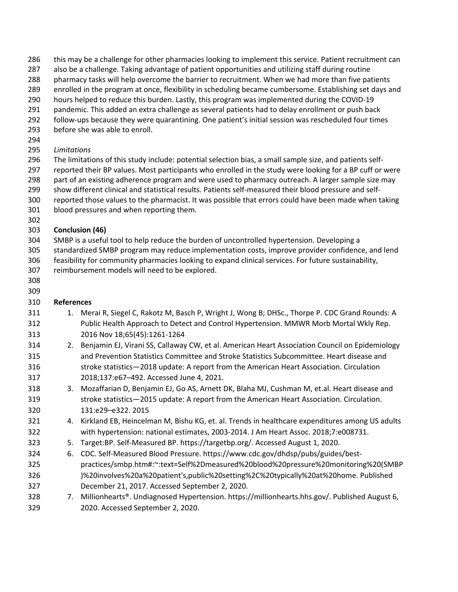- 286 this may be a challenge for other pharmacies looking to implement this service. Patient recruitment can
- also be a challenge. Taking advantage of patient opportunities and utilizing staff during routine
- pharmacy tasks will help overcome the barrier to recruitment. When we had more than five patients
- enrolled in the program at once, flexibility in scheduling became cumbersome. Establishing set days and
- hours helped to reduce this burden. Lastly, this program was implemented during the COVID-19
- pandemic. This added an extra challenge as several patients had to delay enrollment or push back
- follow-ups because they were quarantining. One patient's initial session was rescheduled four times
- before she was able to enroll.
- 
- *Limitations*
- The limitations of this study include: potential selection bias, a small sample size, and patients self-
- reported their BP values. Most participants who enrolled in the study were looking for a BP cuff or were
- part of an existing adherence program and were used to pharmacy outreach. A larger sample size may
- show different clinical and statistical results. Patients self-measured their blood pressure and self-reported those values to the pharmacist. It was possible that errors could have been made when taking
- blood pressures and when reporting them.
- 

# **Conclusion (46)**

- SMBP is a useful tool to help reduce the burden of uncontrolled hypertension. Developing a standardized SMBP program may reduce implementation costs, improve provider confidence, and lend feasibility for community pharmacies looking to expand clinical services. For future sustainability,
- reimbursement models will need to be explored.
- 

# **References**

- 311 1. Merai R, Siegel C, Rakotz M, Basch P, Wright J, Wong B; DHSc., Thorpe P. CDC Grand Rounds: A Public Health Approach to Detect and Control Hypertension. MMWR Morb Mortal Wkly Rep. 2016 Nov 18;65(45):1261-1264
- 2. Benjamin EJ, Virani SS, Callaway CW, et al. American Heart Association Council on Epidemiology and Prevention Statistics Committee and Stroke Statistics Subcommittee. Heart disease and stroke statistics—2018 update: A report from the American Heart Association. Circulation 2018;137:e67–492. Accessed June 4, 2021.
- 3. Mozaffarian D, Benjamin EJ, Go AS, Arnett DK, Blaha MJ, Cushman M, et.al. Heart disease and stroke statistics—2015 update: A report from the American Heart Association. Circulation. 131:e29–e322. 2015
- 4. Kirkland EB, Heincelman M, Bishu KG, et. al. Trends in healthcare expenditures among US adults with hypertension: national estimates, 2003-2014. J Am Heart Assoc. 2018;7:e008731.
- 5. Target:BP. Self-Measured BP. https://targetbp.org/. Accessed August 1, 2020.
- 6. CDC. Self-Measured Blood Pressure. https://www.cdc.gov/dhdsp/pubs/guides/best- practices/smbp.htm#:~:text=Self%2Dmeasured%20blood%20pressure%20monitoring%20(SMBP )%20involves%20a%20patient's,public%20setting%2C%20typically%20at%20home. Published December 21, 2017. Accessed September 2, 2020.
- 7. Millionhearts®. Undiagnosed Hypertension. https://millionhearts.hhs.gov/. Published August 6, 2020. Accessed September 2, 2020.